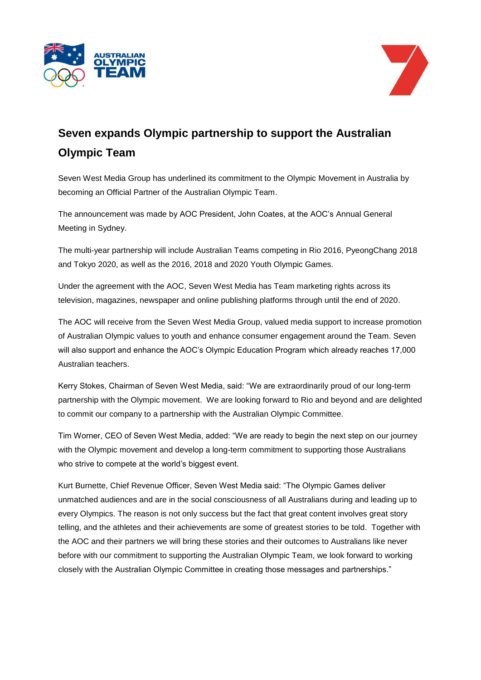



## **Seven expands Olympic partnership to support the Australian Olympic Team**

Seven West Media Group has underlined its commitment to the Olympic Movement in Australia by becoming an Official Partner of the Australian Olympic Team.

The announcement was made by AOC President, John Coates, at the AOC's Annual General Meeting in Sydney.

The multi-year partnership will include Australian Teams competing in Rio 2016, PyeongChang 2018 and Tokyo 2020, as well as the 2016, 2018 and 2020 Youth Olympic Games.

Under the agreement with the AOC, Seven West Media has Team marketing rights across its television, magazines, newspaper and online publishing platforms through until the end of 2020.

The AOC will receive from the Seven West Media Group, valued media support to increase promotion of Australian Olympic values to youth and enhance consumer engagement around the Team. Seven will also support and enhance the AOC's Olympic Education Program which already reaches 17,000 Australian teachers.

Kerry Stokes, Chairman of Seven West Media, said: "We are extraordinarily proud of our long-term partnership with the Olympic movement. We are looking forward to Rio and beyond and are delighted to commit our company to a partnership with the Australian Olympic Committee.

Tim Worner, CEO of Seven West Media, added: "We are ready to begin the next step on our journey with the Olympic movement and develop a long-term commitment to supporting those Australians who strive to compete at the world's biggest event.

Kurt Burnette, Chief Revenue Officer, Seven West Media said: "The Olympic Games deliver unmatched audiences and are in the social consciousness of all Australians during and leading up to every Olympics. The reason is not only success but the fact that great content involves great story telling, and the athletes and their achievements are some of greatest stories to be told. Together with the AOC and their partners we will bring these stories and their outcomes to Australians like never before with our commitment to supporting the Australian Olympic Team, we look forward to working closely with the Australian Olympic Committee in creating those messages and partnerships."